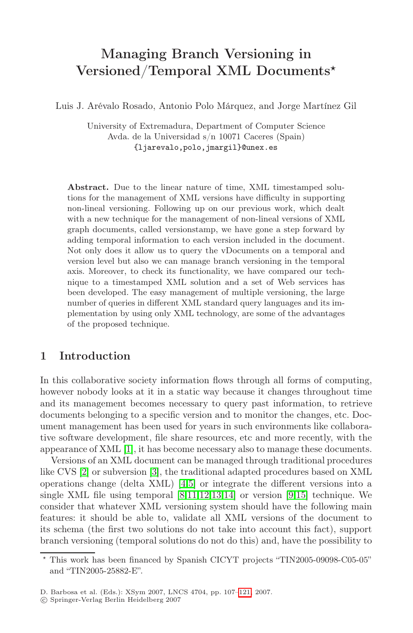# Managing Branch Versioning in Versioned/Temporal XML Documents*-*

Luis J. Arévalo Rosado, Antonio Polo Márquez, and Jorge Martínez Gil

University of Extremadura, Department of Computer Science Avda. de la Universidad s/n 10071 Caceres (Spain) {ljarevalo,polo,jmargil}@unex.es

Abstract. Due to the linear nature of time, XML timestamped solutions for the management of XML versions have difficulty in supporting non-lineal versioning. Following up on our previous work, which dealt with a new technique for the management of non-lineal versions of XML graph documents, called versionstamp, we have gone a step forward by adding temporal information to each version included in the document. Not only does it allow us to query the vDocuments on a temporal and version level but also we can manage branch versioning in the temporal axis. Moreover, to check its functionality, we have compared our technique to a timestamped XML solution and a set of Web services has been developed. The easy management of multiple versioning, the large number of queries in different XML standard query languages and its implementation by using only XML technology, are some of the advantages of the proposed technique.

### [1](#page-13-0) Introduction

In this [co](#page-13-1)llaborative society information flows through all forms of computing, however nobo[dy](#page-14-0) [lo](#page-14-1)oks at it in a static way because it changes throughout time and its mana[ge](#page-14-2)[me](#page-14-3)[nt](#page-14-4) [bec](#page-14-5)[om](#page-14-6)es necessary [t](#page-14-7)[o](#page-14-8) query past information, to retrieve documents belonging to a specific version and to monitor the changes, etc. Document management has been used for years in such environments like collaborative software development, file share resources, etc and more recently, with the appearance of XML [1], it has become necessary also to manage these documents.

Versions of an XML document can be managed through traditional procedures like CVS [2] or subversion [3], the traditional adapted procedures based on XML operations change (delta XML) [4,5] or integrate the different versions into a single XML file using temporal  $[8,11,12,13,14]$  or version  $[9,15]$  technique. We consider that whatever XM[L](#page-14-9) [ve](#page-14-9)rsioning system should have the following main features: it should be able to, validate all XML versions of the document to its schema (the first two solutions do not take into account this fact), support branch versioning (temporal solutions do not do this) and, have the possibility to

 $\star$  This work has been financed by Spanish CICYT projects "TIN2005-09098-C05-05" and "TIN2005-25882-E".

D. Barbosa et al. (Eds.): XSym 2007, LNCS 4704, pp. 107–121, 2007.

<sup>-</sup>c Springer-Verlag Berlin Heidelberg 2007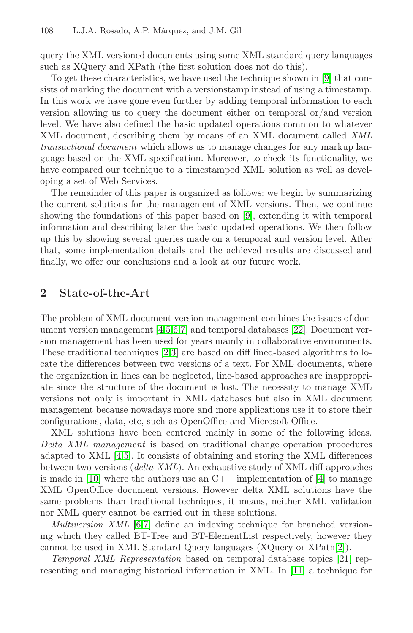#### 108 L.J.A. Rosado, A.P. Márquez, and J.M. Gil

query the XML versioned documents using some XML standard query languages such as XQuery and XPath (the first solution does not do this).

To get these characteristics, we have used the technique shown in [9] that consists of marking the document with a versionstamp instead of using a timestamp. In this work we have gone even further by adding temporal information to each version allowing us to query the document either on temporal or/and version level. We have also defined t[he](#page-14-7) basic updated operations common to whatever XML document, describing them by means of an XML document called *XML transactional document* which allows us to manage changes for any markup language based on the XML specification. Moreover, to check its functionality, we have compared our technique to a timestamped XML solution as well as developing a set of Web Services.

The remainder of this paper is organized as follows: we begin by summarizing the current solutions for the management of XML versions. Then, we continue showing the foundations of this paper based on [9], extending it with temporal information and describing later the basic updated operations. We then follow up this b[y](#page-14-0) [s](#page-14-1)[ho](#page-14-10)[wi](#page-14-11)ng several queries made [on](#page-14-12) a temporal and version level. After that, some implementation details and the achieved results are discussed and finally, we [o](#page-13-2)[ffe](#page-13-1)r our conclusions and a look at our future work.

### 2 State-of-the-Art

The problem of XML document version management combines the issues of document version management [4,5,6,7] and temporal databases [22]. Document version management has been used for years mainly in collaborative environments. These traditional techniques [2,3] are based on diff lined-based algorithms to lo[c](#page-14-0)[at](#page-14-1)e the differences between two versions of a text. For XML documents, where the organization in lines can be neglected, line-based approaches are inappropriate since the structure of the document is lost[. T](#page-14-0)he necessity to manage XML versions not only is important in XML databases but also in XML document management because nowadays more and more applications use it to store their configurations, data, etc, such as OpenOffice and Microsoft Office.

[XM](#page-14-10)[L](#page-14-11) solutions have been centered mainly in some of the following ideas. *Delta XML management* is based on traditional change operation procedures adapted to XML [4,5]. It consists of obtaining and [sto](#page-13-2)ring the XML differences between two versions (*delta XML*). An exhaustive st[udy](#page-14-13) of XML diff approaches is made in [10] where the authors use an  $C++$  $C++$  implementation of [4] to manage XML OpenOffice document versions. However delta XML solutions have the same problems than traditional techniques, it means, neither XML validation nor XML query cannot be carried out in these solutions.

*Multiversion XML* [6,7] define an indexing technique for branched versioning which they called BT-Tree and BT-ElementList respectively, however they cannot be used in XML Standard Query languages (XQuery or XPath[2]).

*Temporal XML Representation* based on temporal database topics [21] representing and managing historical information in XML. In [11] a technique for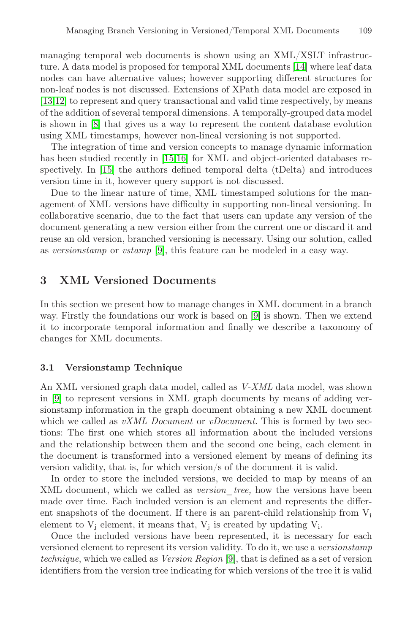managing temporal web documents is shown using an XML/XSLT infrastructure. A da[ta](#page-14-8) [mod](#page-14-14)el is proposed for temporal XML documents [14] where leaf data nodes can have alternative values; however supporting different structures for non-leaf nodes is not discussed. Extensions of XPath data model are exposed in [13,12] to represent and query transactional and valid time respectively, by means of the addition of several temporal dimensions. A temporally-grouped data model is shown in [8] that gives us a way to represent the content database evolution using XML timestamps, however non-lineal versioning is not supported.

The integration of time and version concepts to manage dynamic information has been [st](#page-14-7)udied recently in [15,16] for XML and object-oriented databases respectively. In [15] the authors defined temporal delta (tDelta) and introduces version time in it, however query support is not discussed.

Due to the linear nature of time, XML timestamped solutions for the management of XML versions have difficulty in supporting non-lineal versioning. In collaborative scenario, due to the fact that users can update any version of the document generating a new ver[sio](#page-14-7)n either from the current one or discard it and reuse an old version, branched versioning is necessary. Using our solution, called as *versionstamp* or *vstamp* [9], this feature can be modeled in a easy way.

### 3 XML Versioned Documents

In this section we present how to manage changes in XML document in a branch way. Firstly the foundations our work is based on [9] is shown. Then we extend it to incorporate temporal information and finally we describe a taxonomy of changes for XML documents.

#### 3.1 Versionstamp Technique

An XML versioned graph data model, called as *V-XML* data model, was shown in [9] to represent versions in XML graph documents by means of adding versionstamp information in the graph document obtaining a new XML document which we called as *vXML Document* or *vDocument*. This is formed by two sections: The first one which stores all information about the included versions and the relationship between them and the second one being, each element in the document is transformed into a versioned element by means of defining its version validity, that is, f[or](#page-14-7) which version/s of the document it is valid.

In order to store the included versions, we decided to map by means of an XML document, which we called as *version* tree, how the versions have been made over time. Each included version is an element and represents the different snapshots of the document. If there is an parent-child relationship from  $V_i$ element to  $V_i$  element, it means that,  $V_i$  is created by updating  $V_i$ .

Once the included versions have been represented, it is necessary for each versioned element to represent its version validity. To do it, we use a *versionstamp technique*, which we called as *Version Region* [9], that is defined as a set of version identifiers from the version tree indicating for which versions of the tree it is valid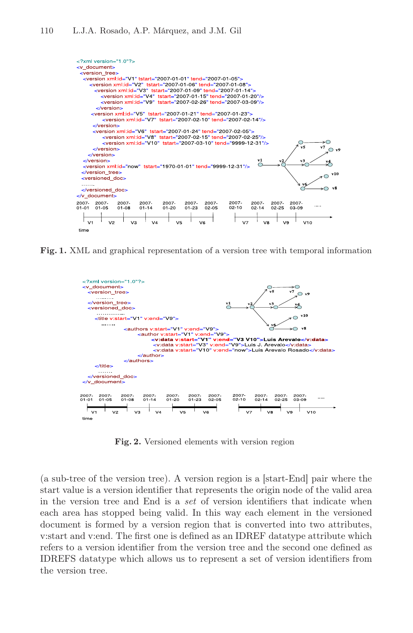

Fig. 1. XML and graphical representation of a version tree with temporal information



<span id="page-3-0"></span>Fig. 2. Versioned elements with version region

(a sub-tree of the version tree). A version region is a [start-End] pair where the start value is a version identifier that represents the origin node of the valid area in the version tree and End is a *set* of version identifiers that indicate when each area has stopped being valid. In this way each element in the versioned document is formed by a version region that is converted into two attributes, v:start and v:end. The first one is defined as an IDREF datatype attribute which refers to a version identifier from the version tree and the second one defined as IDREFS datatype which allows us to represent a set of version identifiers from the version tree.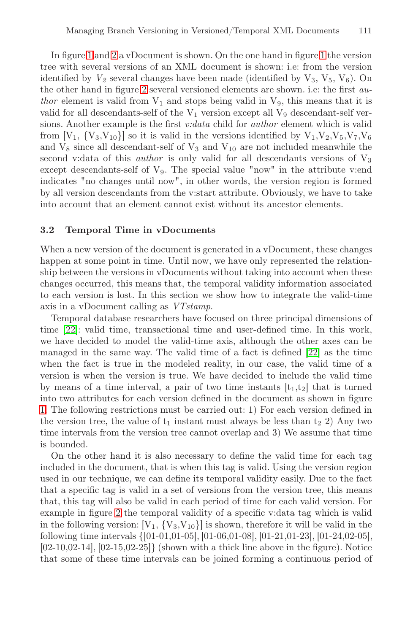In figure 1 and 2 a vDocument is shown. On the one hand in figure 1 the version tree with several versions of an XML document is shown: i.e: from the version identified by  $V_2$  several changes have been made (identified by  $V_3$ ,  $V_5$ ,  $V_6$ ). On the other hand in figure 2 several versioned elements are shown. i.e: the first *author* element is valid from  $V_1$  and stops being valid in  $V_9$ , this means that it is valid for all descendants-self of the  $V_1$  version except all  $V_9$  descendant-self versions. Another example is the first *v:data* child for *author* element which is valid from  $[V_1, \{V_3, V_{10}\}]$  so it is valid in the versions identified by  $V_1, V_2, V_5, V_7, V_6$ and  $V_8$  since all descendant-self of  $V_3$  and  $V_{10}$  are not included meanwhile the second v:data of this *author* is only valid for all descendants versions of V<sub>3</sub> except descendants-self of V9. The special value "now" in the attribute v:end indicates "no changes until now", in other words, the version region is formed by all version descendants from the v:start attribute. Obviously, we have to take into account that an element cannot exist without its ancestor elements.

#### 3.2 Temporal Time in vDocuments

When a new version of the document is generated in a vDocument, these changes happen at some point in time. Until now, we [hav](#page-14-12)e only represented the relationship between the versions in vDocuments without taking into account when these changes occurred, this means that, the temporal validity information associated to each version is lost. In this section we show how to integrate the valid-time axis in a vDocument calling as *VTstamp*.

Temporal database researchers have focused on three principal dimensions of time [22]: valid time, transactional time and user-defined time. In this work, we have decided to model the valid-time axis, although the other axes can be managed in the same way. The valid time of a fact is defined [22] as the time when the fact is true in the modeled reality, in our case, the valid time of a version is when the version is true. We have decided to include the valid time by means of a time interval, a pair of two time instants  $[t_1,t_2]$  that is turned into two attributes for each version defined in the document as shown in figure 1. The following restrictions must be carried out: 1) For each version defined in [t](#page-3-0)he version tree, the value of  $t_1$  instant must always be less than  $t_2$  2) Any two time intervals from the version tree cannot overlap and 3) We assume that time is bounded.

On the other hand it is also necessary to define the valid time for each tag included in the document, that is when this tag is valid. Using the version region used in our technique, we can define its temporal validity easily. Due to the fact that a specific tag is valid in a set of versions from the version tree, this means that, this tag will also be valid in each period of time for each valid version. For example in figure 2 the temporal validity of a specific v:data tag which is valid in the following version:  $[V_1, \{V_3, V_{10}\}]$  is shown, therefore it will be valid in the following time intervals {[01-01,01-05], [01-06,01-08], [01-21,01-23], [01-24,02-05],  $[02-10, 02-14]$ ,  $[02-15, 02-25]$  (shown with a thick line above in the figure). Notice that some of these time intervals can be joined forming a continuous period of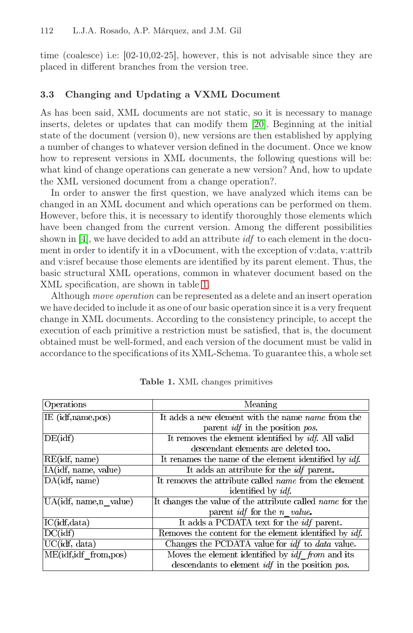time (coalesce) i.e: [02-10,02-25], however, this is not advisable since they are placed in different branches from the version tree.

### 3.3 Changing and Updating a VXML Document

As has been said, XML documents are not static, so it is necessary to manage inserts, deletes or updates that can modify them [20]. Beginning at the initial state of the document (version 0), new versions are then established by applying a number of changes to whatever version defined in the document. Once we know how to represent versions in XML documents, the following questions will be: what kind of change operations can generate a new version? And, how to update the XML versioned document from a change operation?.

In order to answ[er](#page-5-0) the first question, we have analyzed which items can be changed in an XML document and which operations can be performed on them. However, before this, it is necessary to identify thoroughly those elements which have been changed from the current version. Among the different possibilities shown in [4], we have decided to add an attribute *idf* to each element in the document in order to identify it in a vDocument, with the exception of v:data, v:attrib and v:isref because those elements are identified by its parent element. Thus, the basic structural XML operations, common in whatever document based on the XML specification, are shown in table 1.

<span id="page-5-0"></span>Although *move operation* can be represented as a delete and an insert operation we have decided to include it as one of our basic operation since it is a very frequent change in XML documents. According to the consistency principle, to accept the execution of each primitive a restriction must be satisfied, that is, the document obtained must be well-formed, and each version of the document must be valid in accordance to the specifications of its XML-Schema. To guarantee this, a whole set

| Operations                                                              | Meaning                                                          |
|-------------------------------------------------------------------------|------------------------------------------------------------------|
| IE (idf,name,pos)                                                       | It adds a new element with the name <i>name</i> from the         |
|                                                                         | parent <i>idf</i> in the position pos.                           |
| DE(idf)                                                                 | It removes the element identified by <i>idf</i> . All valid      |
|                                                                         | descendant elements are deleted too.                             |
| $\overline{\text{RE}}(\text{idf}, \text{name})$                         | It renames the name of the element identified by <i>idf</i> .    |
| IA(idf, name, value)                                                    | It adds an attribute for the <i>idf</i> parent.                  |
| DA(idf, name)                                                           | It removes the attribute called <i>name</i> from the element     |
|                                                                         | identified by <i>idf</i> .                                       |
| UA(id, name, n value)                                                   | It changes the value of the attribute called <i>name</i> for the |
|                                                                         | parent <i>idf</i> for the <i>n value</i> .                       |
| $\overline{IC}(\text{idf}, \text{data})$                                | It adds a PCDATA text for the <i>idf</i> parent.                 |
| DC(idf)                                                                 | Removes the content for the element identified by idf.           |
| UC(idf, data)                                                           | Changes the PCDATA value for <i>idf</i> to <i>data</i> value.    |
| $\overline{\text{ME}(\text{idf}, \text{idf}\_\text{from}, \text{pos})}$ | Moves the element identified by <i>idf</i> from and its          |
|                                                                         | descendants to element $\mathcal{U}f$ in the position pos.       |

Table 1. XML changes primitives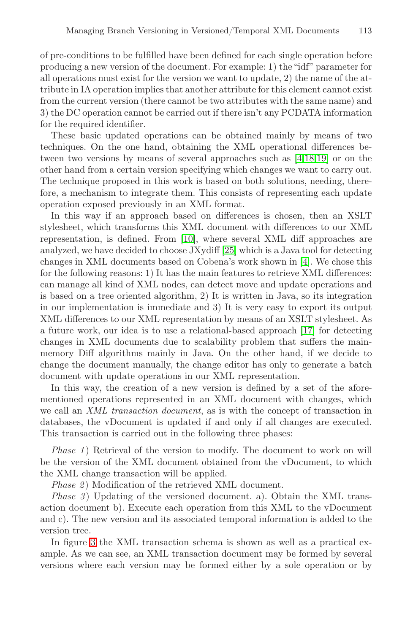of pre-conditions to be fulfilled have been defined for each single operation before producing a new version of the document. [Fo](#page-14-0)[r ex](#page-14-16)[am](#page-14-17)ple: 1) the "idf" parameter for all operations must exist for the version we want to update, 2) the name of the attribute in IA operation implies that another attribute for this element cannot exist from the current version (there cannot be two attributes with the same name) and 3) the DC operation cannot be carried out if there isn't any PCDATA information for the required identifier.

These basic updated operations can be obtained mainly by means of two techniques. O[n th](#page-14-18)e one hand, obtaining the XML operational differences between two versions by [mean](#page-14-19)s of several approaches such as [4,18,19] or on the other hand from a certain version specifying [w](#page-14-0)hich changes we want to carry out. The technique proposed in this work is based on both solutions, needing, therefore, a mechanism to integrate them. This consists of representing each update operation exposed previously in an XML format.

In this way if an approach based on differences is chosen, then an XSLT stylesheet, which transforms this XML document with differences to our XML representation, is defined. From [10], wher[e s](#page-14-20)everal XML diff approaches are analyzed, we have decided to choose JXydiff [25] which is a Java tool for detecting changes in XML documents based on Cobena's work shown in [4]. We chose this for the following reasons: 1) It has the main features to retrieve XML differences: can manage all kind of XML nodes, can detect move and update operations and is based on a tree oriented algorithm, 2) It is written in Java, so its integration in our implementation is immediate and 3) It is very easy to export its output XML differences to our XML representation by means of an XSLT stylesheet. As a future work, our idea is to use a relational-based approach [17] for detecting changes in XML documents due to scalability problem that suffers the mainmemory Diff algorithms mainly in Java. On the other hand, if we decide to change the document manually, the change editor has only to generate a batch document with update operations in our XML representation.

In this way, the creation of a new version is defined by a set of the aforementioned operations represented in an XML document with changes, which we call an *XML transaction document*, as is with the concept of transaction in databases, the vDocument is updated if and only if all changes are executed. This transaction is carried out in the following three phases:

*Phase 1*) Retrieval of the version to modify. The document to work on will be the version of the XML document obtained from the vDocument, to which the XML change transaction will be applied.

*Phase 2*) Modification of the retrieved XML document.

*Phase 3*) Updating of the versioned document. a). Obtain the XML transaction document b). Execute each operation from this XML to the vDocument and c). The new version and its associated temporal information is added to the version tree.

In figure 3 the XML transaction schema is shown as well as a practical example. As we can see, an XML transaction document may be formed by several versions where each version may be formed either by a sole operation or by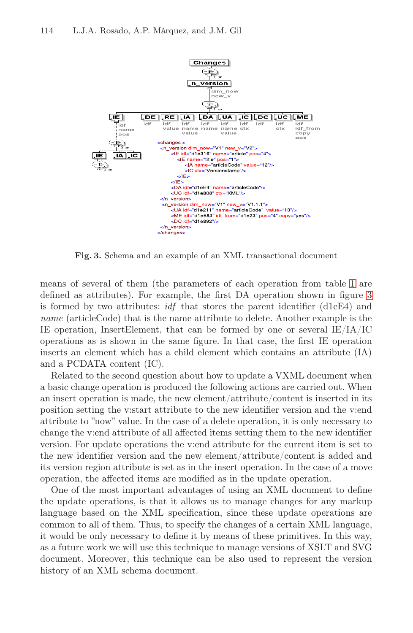

Fig. 3. Schema and an example of an XML transactional document

means of several of them (the parameters of each operation from table 1 are defined as attributes). For example, the first DA operation shown in figure 3 is formed by two attributes: *idf* that stores the parent identifier (d1eE4) and *name* (articleCode) that is the name attribute to delete. Another example is the IE operation, InsertElement, that can be formed by one or several IE/IA/IC operations as is shown in the same figure. In that case, the first IE operation inserts an element which has a child element which contains an attribute (IA) and a PCDATA content (IC).

Related to the second question about how to update a VXML document when a basic change operation is produced the following actions are carried out. When an insert operation is made, the new element/attribute/content is inserted in its position setting the v:start attribute to the new identifier version and the v:end attribute to "now" value. In the case of a delete operation, it is only necessary to change the v:end attribute of all affected items setting them to the new identifier version. For update operations the v:end attribute for the current item is set to the new identifier version and the new element/attribute/content is added and its version region attribute is set as in the insert operation. In the case of a move operation, the affected items are modified as in the update operation.

One of the most important advantages of using an XML document to define the update operations, is that it allows us to manage changes for any markup language based on the XML specification, since these update operations are common to all of them. Thus, to specify the changes of a certain XML language, it would be only necessary to define it by means of these primitives. In this way, as a future work we will use this technique to manage versions of XSLT and SVG document. Moreover, this technique can be also used to represent the version history of an XML schema document.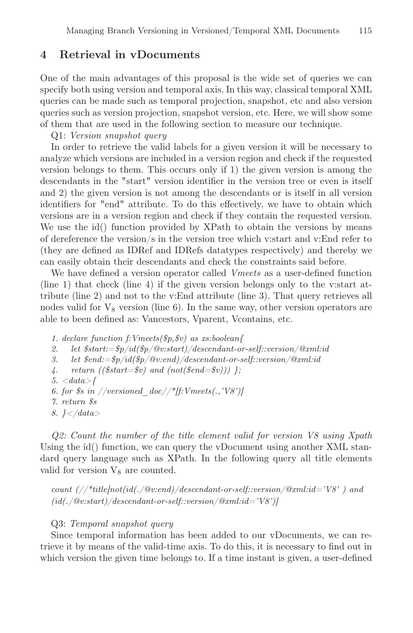### 4 Retrieval in vDocuments

One of the main advantages of this proposal is the wide set of queries we can specify both using version and temporal axis. In this way, classical temporal XML queries can be made such as temporal projection, snapshot, etc and also version queries such as version projection, snapshot version, etc. Here, we will show some of them that are used in the following section to measure our technique.

#### Q1: *Version snapshot query*

In order to retrieve the valid labels for a given version it will be necessary to analyze which versions are included in a version region and check if the requested version belongs to them. This occurs only if 1) the given version is among the descendants in the "start" version identifier in the version tree or even is itself and 2) the given version is not among the descendants or is itself in all version identifiers for "end" attribute. To do this effectively, we have to obtain which versions are in a version region and check if they contain the requested version. We use the id() function provided by XPath to obtain the versions by means of dereference the version/s in the version tree which v:start and v:End refer to (they are defined as IDRef and IDRefs datatypes respectively) and thereby we can easily obtain their descendants and check the constraints said before.

We have defined a version operator called *Vmeets* as a user-defined function (line 1) that check (line 4) if the given version belongs only to the v:start attribute (line 2) and not to the v:End attribute (line 3). That query retrieves all nodes valid for  $V_8$  version (line 6). In the same way, other version operators are able to been defined as: Vancestors, Vparent, Vcontains, etc.

```
1. declare function f:Vmeets($p,$v) as xs:boolean{
```

```
2. let $start:=$p/id($p/@v:start)/descendant-or-self::version/@xml:id
```

```
3. let $end:=$p/id($p/@v:end)/descendant-or-self::version/@xml:id
```
- *4. return ((\$start=\$v) and (not(\$end=\$v))) };*
- *5. <data>{*
- *6. for \$s in //versioned\_doc//\*[f:Vmeets(.,'V8')]*
- *7. return \$s*
- *8. }</data>*

*Q2: Count the number of the title element valid for version V8 using Xpath* Using the id() function, we can query the vDocument using another XML standard query language such as XPath. In the following query all title elements valid for version  $V_8$  are counted.

*count (//\*title[not(id(./@v:end)/descendant-or-self::version/@xml:id='V8' ) and (id(./@v:start)/descendant-or-self::version/@xml:id='V8')]*

#### Q3: *Temporal snapshot query*

Since temporal information has been added to our vDocuments, we can retrieve it by means of the valid-time axis. To do this, it is necessary to find out in which version the given time belongs to. If a time instant is given, a user-defined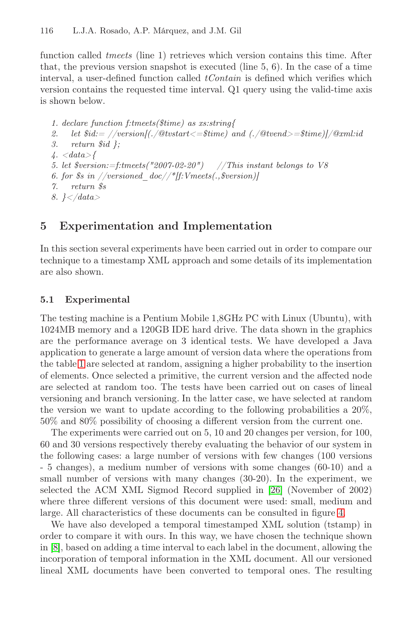#### 116 L.J.A. Rosado, A.P. Márquez, and J.M. Gil

function called *tmeets* (line 1) retrieves which version contains this time. After that, the previous version snapshot is executed (line 5, 6). In the case of a time interval, a user-defined function called *tContain* is defined which verifies which version contains the requested time interval. Q1 query using the valid-time axis is shown below.

*1. declare function f:tmeets(\$time) as xs:string{ 2. let \$id:= //version[(./@tvstart<=\$time) and (./@tvend>=\$time)]/@xml:id 3. return \$id }; 4. <data>{ 5. let \$version:=f:tmeets("2007-02-20") //This instant belongs to V8 6. for \$s in //versioned\_doc//\*[f:Vmeets(.,\$version)] 7. return \$s 8. }</data>*

## 5 Experimentation and Implementation

In this section several experiments have been carried out in order to compare our technique to a timestamp XML approach and some details of its implementation are also shown.

### 5.1 Experimental

The testing machine is a Pentium Mobile 1,8GHz PC with Linux (Ubuntu), with 1024MB memory and a 120GB IDE hard drive. The data shown in the graphics are the performance average on 3 identical tests. We have developed a Java application to generate a large amount of version data where the operations from the table 1 are selected at random, assigning a higher probability to the insertion of elements. Once selected a primitive, the current version and the affected node are selected at random too. The tests have been carried out on cases of lineal versioning and branch versioning. I[n th](#page-14-21)e latter case, we have selected at random the version we want to update according to the following probabilities a 20%, 50% and 80% possibility of choosing a different vers[ion](#page-10-0) from the current one.

The experiments were carried out on 5, 10 and 20 changes per version, for 100, 60 and 30 versions respectively thereby evaluating the behavior of our system in the following cases: a large number of versions with few changes (100 versions - 5 changes), a medium number of versions with some changes (60-10) and a small number of versions with many changes (30-20). In the experiment, we selected the ACM XML Sigmod Record supplied in [26] (November of 2002) where three different versions of this document were used: small, medium and large. All characteristics of these documents can be consulted in figure 4.

We have also developed a temporal timestamped XML solution (tstamp) in order to compare it with ours. In this way, we have chosen the technique shown in [8], based on adding a time interval to each label in the document, allowing the incorporation of temporal information in the XML document. All our versioned lineal XML documents have been converted to temporal ones. The resulting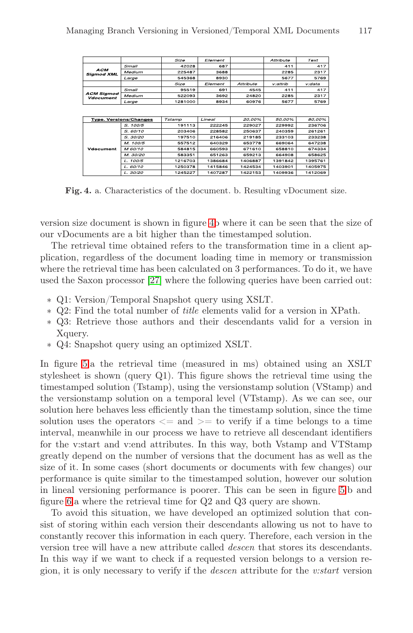|                                 |                              | Size    | Element |           | Attribute | Text    |  |  |  |
|---------------------------------|------------------------------|---------|---------|-----------|-----------|---------|--|--|--|
| <b>ACM</b><br><b>Siamod XML</b> | Small                        | 42028   | 687     |           | 411       |         |  |  |  |
|                                 | Medium                       | 225487  | 3688    |           | 2285      | 2317    |  |  |  |
|                                 | Large                        | 545368  | 8930    |           | 5677      | 5769    |  |  |  |
|                                 |                              | Size    | Element | Attribute | v:attrib  | v:data  |  |  |  |
|                                 | Small                        | 95519   | 691     | 4545      | 411       | 417     |  |  |  |
| <b>ACM Sigmod</b><br>Vdocument  | Medium                       | 522093  | 3692    | 24820     | 2285      | 2317    |  |  |  |
|                                 | Large                        | 1281000 | 8934    | 60976     | 5677      | 5769    |  |  |  |
|                                 |                              |         |         |           |           |         |  |  |  |
|                                 |                              |         |         |           |           |         |  |  |  |
|                                 | <b>Type Versions/Changes</b> | Tstamp  | I ineal | 20.00%    | 50,00%    | 80,00%  |  |  |  |
|                                 | S. 100/5                     | 191113  | 222245  | 229027    | 229992    | 236706  |  |  |  |
|                                 | S. 60/10                     | 203406  | 228582  | 250637    | 240359    | 261261  |  |  |  |
|                                 | S. 30/20                     | 197510  | 216406  | 219185    | 233103    | 233238  |  |  |  |
|                                 | M. 100/5                     | 557512  | 640329  | 653778    | 669064    | 647238  |  |  |  |
| Vdocument                       | M 60/10                      | 584815  | 660593  | 671610    | 658810    | 674334  |  |  |  |
|                                 | M. 30/20                     | 583351  | 651263  | 659213    | 664908    | 658625  |  |  |  |
|                                 | L. 100/5                     | 1216703 | 1386684 | 1406887   | 1391842   | 1395761 |  |  |  |
|                                 | L. 60/10                     | 1250378 | 1415846 | 1424534   | 1403901   | 1405975 |  |  |  |

<span id="page-10-0"></span>[Fig.](#page-14-22) 4. a. Characteristics of the document. b. Resulting vDocument size.

version size document is shown in figure 4b where it can be seen that the size of our vDocuments are a bit higher than the timestamped solution.

The retrieval time obtained refers to the transformation time in a client application, regardless of the document loading time in memory or transmission where the retrieval time has been calculated on 3 performances. To do it, we have used the Saxon processor [27] where the following queries have been carried out:

- ∗ Q1: Version/Temporal Snapshot query using XSLT.
- ∗ Q2: Find the total number of *title* elements valid for a version in XPath.
- ∗ Q3: Retrieve those authors and their descendants valid for a version in Xquery.
- ∗ Q4: Snapshot query using an optimized XSLT.

In figure 5.a the retrieval time (measured in ms) obtained using an XSLT stylesheet is shown (query Q1). This figure shows the retrieval time using the timestamped solution (Tstamp), using the versionstamp solution (VStamp) and the versionstamp solution on a temporal level (VT[sta](#page-11-0)mp). As we can see, our solution here behaves less efficiently than the timestamp solution, since the time solution uses the operators  $\leq$  and  $\geq$  to verify if a time belongs to a time interval, meanwhile in our process we have to retrieve all descendant identifiers for the v:start and v:end attributes. In this way, both Vstamp and VTStamp greatly depend on the number of versions that the document has as well as the size of it. In some cases (short documents or documents with few changes) our performance is quite similar to the timestamped solution, however our solution in lineal versioning performance is poorer. This can be seen in figure 5.b and figure 6.a where the retrieval time for Q2 and Q3 query are shown.

To avoid this situation, we have developed an optimized solution that consist of storing within each version their descendants allowing us not to have to constantly recover this information in each query. Therefore, each version in the version tree will have a new attribute called *descen* that stores its descendants. In this way if we want to check if a requested version belongs to a version region, it is only necessary to verify if the *descen* attribute for the *v:start* version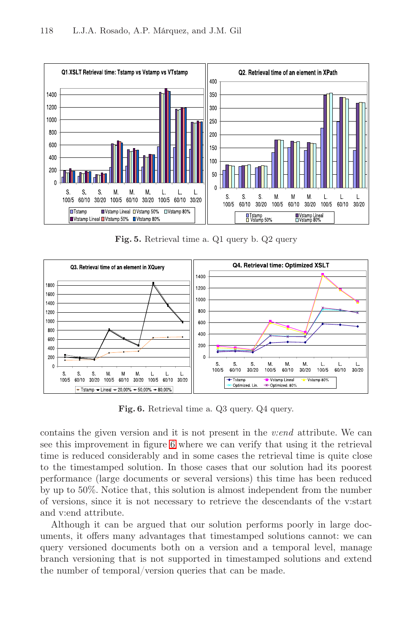

Fig. 5. Retrieval time a. Q1 query b. Q2 query

<span id="page-11-0"></span>

Fig. 6. Retrieval time a. Q3 query. Q4 query.

contains the given version and it is not present in the *v:end* attribute. We can see this improvement in figure 6 where we can verify that using it the retrieval time is reduced considerably and in some cases the retrieval time is quite close to the timestamped solution. In those cases that our solution had its poorest performance (large documents or several versions) this time has been reduced by up to 50%. Notice that, this solution is almost independent from the number of versions, since it is not necessary to retrieve the descendants of the v:start and v:end attribute.

Although it can be argued that our solution performs poorly in large documents, it offers many advantages that timestamped solutions cannot: we can query versioned documents both on a version and a temporal level, manage branch versioning that is not supported in timestamped solutions and extend the number of temporal/version queries that can be made.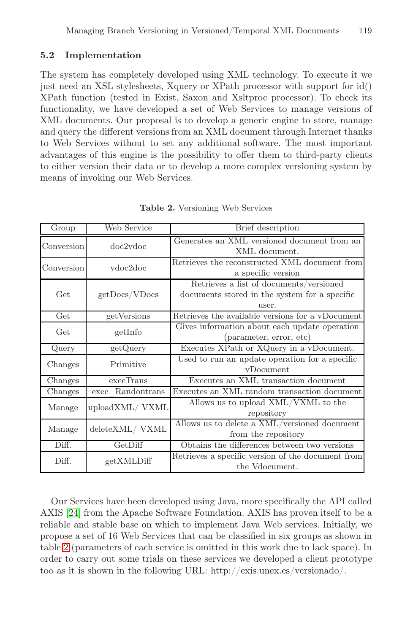### 5.2 Implementation

The system has completely developed using XML technology. To execute it we just need an XSL stylesheets, Xquery or XPath processor with support for id() XPath function (tested in Exist, Saxon and Xsltproc processor). To check its functionality, we have developed a set of Web Services to manage versions of XML documents. Our proposal is to develop a generic engine to store, manage and query the different versions from an XML document through Internet thanks to Web Services without to set any additional software. The most important advantages of this engine is the possibility to offer them to third-party clients to either version their data or to develop a more complex versioning system by means of invoking our Web Services.

| Group      | Web Service              | Brief description                                            |  |  |
|------------|--------------------------|--------------------------------------------------------------|--|--|
| Conversion | doc2vdoc                 | Generates an XML versioned document from an<br>XML document. |  |  |
| Conversion | vdoc2doc                 | Retrieves the reconstructed XML document from                |  |  |
|            |                          | a specific version                                           |  |  |
| Get        |                          | Retrieves a list of documents/versioned                      |  |  |
|            | getDoes/VDocs            | documents stored in the system for a specific                |  |  |
|            |                          | user.                                                        |  |  |
| Get        | getVersions              | Retrieves the available versions for a vDocument             |  |  |
| Get        | getInfo                  | Gives information about each update operation                |  |  |
|            |                          | (parameter, error, etc)                                      |  |  |
| Query      | getQuery                 | Executes XPath or XQuery in a vDocument.                     |  |  |
| Changes    | Primitive                | Used to run an update operation for a specific               |  |  |
|            |                          | vDocument                                                    |  |  |
| Changes    | execTrans                | Executes an XML transaction document                         |  |  |
| Changes    | exec Randontrans         | Executes an XML random transaction document                  |  |  |
| Manage     | uploadXML/VXML           | Allows us to upload XML/VXML to the                          |  |  |
|            |                          | repository                                                   |  |  |
| Manage     | $delet$ e $XML /$ $VXML$ | Allows us to delete a XML/versioned document                 |  |  |
|            |                          | from the repository                                          |  |  |
| Diff.      | GetDiff                  | Obtains the differences between two versions                 |  |  |
| Diff.      | getXMLDiff               | Retrieves a specific version of the document from            |  |  |
|            |                          | the Vdocument.                                               |  |  |

Table 2. Versioning Web Services

Our Services have been developed using Java, more specifically the API called AXIS [24] from the Apache Software Foundation. AXIS has proven itself to be a reliable and stable base on which to implement Java Web services. Initially, we propose a set of 16 Web Services that can be classified in six groups as shown in table 2 (parameters of each service is omitted in this work due to lack space). In order to carry out some trials on these services we developed a client prototype too as it is shown in the following URL: http://exis.unex.es/versionado/.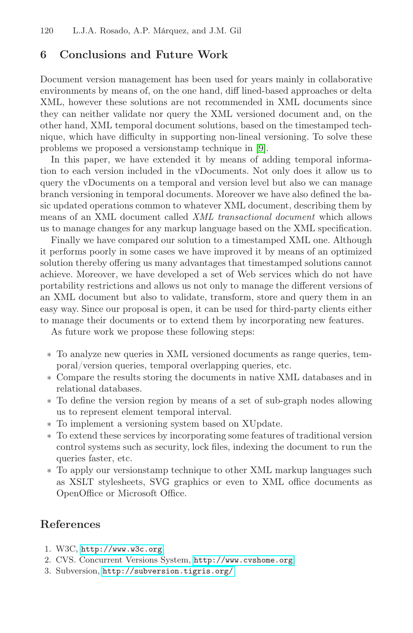# 6 Conclusions and Fut[ur](#page-14-7)e Work

Document version management has been used for years mainly in collaborative environments by means of, on the one hand, diff lined-based approaches or delta XML, however these solutions are not recommended in XML documents since they can neither validate nor query the XML versioned document and, on the other hand, XML temporal document solutions, based on the timestamped technique, which have difficulty in supporting non-lineal versioning. To solve these problems we proposed a versionstamp technique in [9].

In this paper, we have extended it by means of adding temporal information to each version included in the vDocuments. Not only does it allow us to query the vDocuments on a temporal and version level but also we can manage branch versioning in temporal documents. Moreover we have also defined the basic updated operations common to whatever XML document, describing them by means of an XML document called *XML transactional document* which allows us to manage changes for any markup language based on the XML specification.

Finally we have compared our solution to a timestamped XML one. Although it performs poorly in some cases we have improved it by means of an optimized solution thereby offering us many advantages that timestamped solutions cannot achieve. Moreover, we have developed a set of Web services which do not have portability restrictions and allows us not only to manage the different versions of an XML document but also to validate, transform, store and query them in an easy way. Since our proposal is open, it can be used for third-party clients either to manage their documents or to extend them by incorporating new features.

As future work we propose these following steps:

- ∗ To analyze new queries in XML versioned documents as range queries, temporal/version queries, temporal overlapping queries, etc.
- ∗ Compare the results storing the documents in native XML databases and in relational databases.
- ∗ To define the version region by means of a set of sub-graph nodes allowing us to represent element temporal interval.
- ∗ To implement a versioning system based on XUpdate.
- ∗ To extend these services by incorporating some features of traditional version control systems such as security, lock files, indexing the document to run the [queries](http://www.w3c.org) faster, etc.
- <span id="page-13-2"></span><span id="page-13-1"></span><span id="page-13-0"></span>∗ To apply our [versionstamp technique t](http://www.cvshome.org)o other XML markup languages such [as XSLT stylesheets, SV](http://subversion.tigris.org/)G graphics or even to XML office documents as OpenOffice or Microsoft Office.

# References

- 1. W3C, http://www.w3c.org
- 2. CVS. Concurrent Versions System, http://www.cvshome.org
- 3. Subversion, http://subversion.tigris.org/